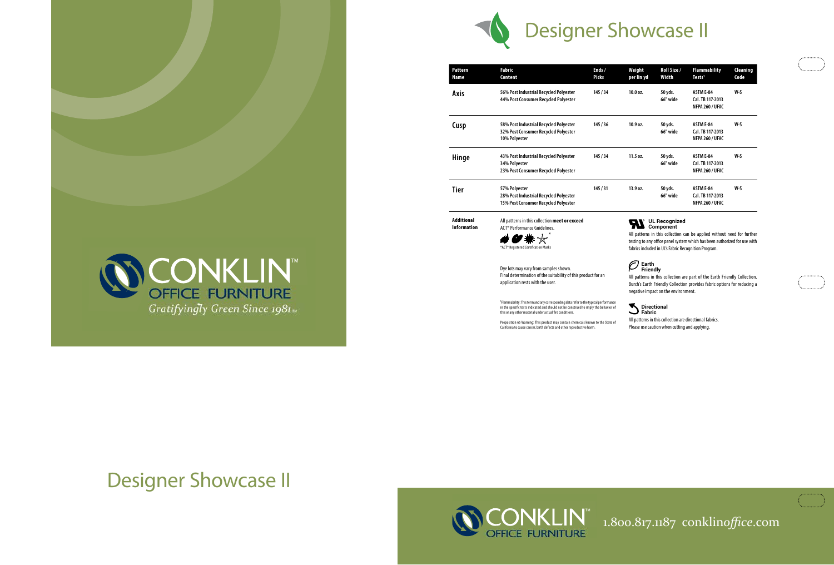## 1.800.817.1187 conklin*office*.com

| t<br>ı yd | Roll Size /<br>Width | <b>Flammability</b><br>Tests <sup>1</sup>               | Cleaning<br>Code |
|-----------|----------------------|---------------------------------------------------------|------------------|
| ۱.        | 50 yds.<br>66" wide  | ASTM E-84<br>Cal. TB 117-2013<br>NFPA 260 / UFAC        | W-S              |
| ۱.        | 50 yds.<br>66" wide  | <b>ASTM E-84</b><br>Cal. TB 117-2013<br>NFPA 260 / UFAC | W-S              |
| ۱.        | 50 yds.<br>66" wide  | ASTM E-84<br>Cal. TB 117-2013<br>NFPA 260 / UFAC        | W-S              |
| ۱.        | 50 yds.<br>66" wide  | <b>ASTM E-84</b><br>Cal. TB 117-2013<br>NFPA 260 / UFAC | W-S              |
|           |                      |                                                         |                  |

| 56% Post Industrial Recycled Polyester<br>10.0 oz.<br>145/34<br>Axis<br>44% Post Consumer Recycled Polyester<br>10.9 oz.<br>58% Post Industrial Recycled Polyester<br>145/36<br>Cusp<br>32% Post Consumer Recycled Polyester<br>10% Polyester<br>43% Post Industrial Recycled Polyester<br>145/34<br>11.5 oz.<br>Hinge<br>34% Polyester<br>23% Post Consumer Recycled Polyester<br><b>Tier</b><br>145/31<br>13.9 oz.<br>57% Polyester<br>28% Post Industrial Recycled Polyester<br>15% Post Consumer Recycled Polyester<br><b>Additional</b><br>All patterns in this collection meet or exceed<br><b>Information</b><br>ACT <sup>®</sup> Performance Guidelines.<br>*ACT® Registered Certification Marks<br>Earth<br>Dye lots may vary from samples shown.<br>Friendly<br>Final determination of the suitability of this product for an<br>application rests with the user.<br><sup>1</sup> Flammability: This term and any corresponding data refer to the typical performance<br>in the specific tests indicated and should not be construed to imply the behavior of<br>Fabric<br>this or any other material under actual fire conditions.<br>Proposition 65 Warning: This product may contain chemicals known to the State of<br>California to cause cancer, birth defects and other reproductive harm. | Pattern<br><b>Name</b> | <b>Fabric</b><br>Content | Ends /<br><b>Picks</b> | Weight<br>per lin yd                                                                                                       | <b>Roll Sia</b><br>Width |
|-------------------------------------------------------------------------------------------------------------------------------------------------------------------------------------------------------------------------------------------------------------------------------------------------------------------------------------------------------------------------------------------------------------------------------------------------------------------------------------------------------------------------------------------------------------------------------------------------------------------------------------------------------------------------------------------------------------------------------------------------------------------------------------------------------------------------------------------------------------------------------------------------------------------------------------------------------------------------------------------------------------------------------------------------------------------------------------------------------------------------------------------------------------------------------------------------------------------------------------------------------------------------------------------------------------|------------------------|--------------------------|------------------------|----------------------------------------------------------------------------------------------------------------------------|--------------------------|
|                                                                                                                                                                                                                                                                                                                                                                                                                                                                                                                                                                                                                                                                                                                                                                                                                                                                                                                                                                                                                                                                                                                                                                                                                                                                                                             |                        |                          |                        |                                                                                                                            | 50 yds.<br>66" wid       |
|                                                                                                                                                                                                                                                                                                                                                                                                                                                                                                                                                                                                                                                                                                                                                                                                                                                                                                                                                                                                                                                                                                                                                                                                                                                                                                             |                        |                          |                        |                                                                                                                            | 50 yds.<br>66″ wid       |
|                                                                                                                                                                                                                                                                                                                                                                                                                                                                                                                                                                                                                                                                                                                                                                                                                                                                                                                                                                                                                                                                                                                                                                                                                                                                                                             |                        |                          |                        |                                                                                                                            | 50 yds.<br>66" wid       |
|                                                                                                                                                                                                                                                                                                                                                                                                                                                                                                                                                                                                                                                                                                                                                                                                                                                                                                                                                                                                                                                                                                                                                                                                                                                                                                             |                        |                          |                        |                                                                                                                            | 50 yds.<br>66" wid       |
|                                                                                                                                                                                                                                                                                                                                                                                                                                                                                                                                                                                                                                                                                                                                                                                                                                                                                                                                                                                                                                                                                                                                                                                                                                                                                                             |                        |                          |                        | <b>UL Recogn</b><br>Componen<br>All patterns in this collec<br>testing to any office panel<br>fabrics included in UL's Fab |                          |
|                                                                                                                                                                                                                                                                                                                                                                                                                                                                                                                                                                                                                                                                                                                                                                                                                                                                                                                                                                                                                                                                                                                                                                                                                                                                                                             |                        |                          |                        | All patterns in this collect<br><b>Burch's Earth Friendly Col</b><br>negative impact on the en                             |                          |
|                                                                                                                                                                                                                                                                                                                                                                                                                                                                                                                                                                                                                                                                                                                                                                                                                                                                                                                                                                                                                                                                                                                                                                                                                                                                                                             |                        |                          |                        | <b>Directional</b><br>All patterns in this collectio<br>Please use caution when c                                          |                          |



#### **UL Recognized Component**

atterns in this collection can be applied without need for further g to any office panel system which has been authorized for use with s included in UL's Fabric Recognition Program.

#### **Earth Friendly**

Itterns in this collection are part of the Earth Friendly Collection. 's Earth Friendly Collection provides fabric options for reducing a tive impact on the environment.

#### **Directional Fabric**

tterns in this collection are directional fabrics. e use caution when cutting and applying.



# Designer Showcase II